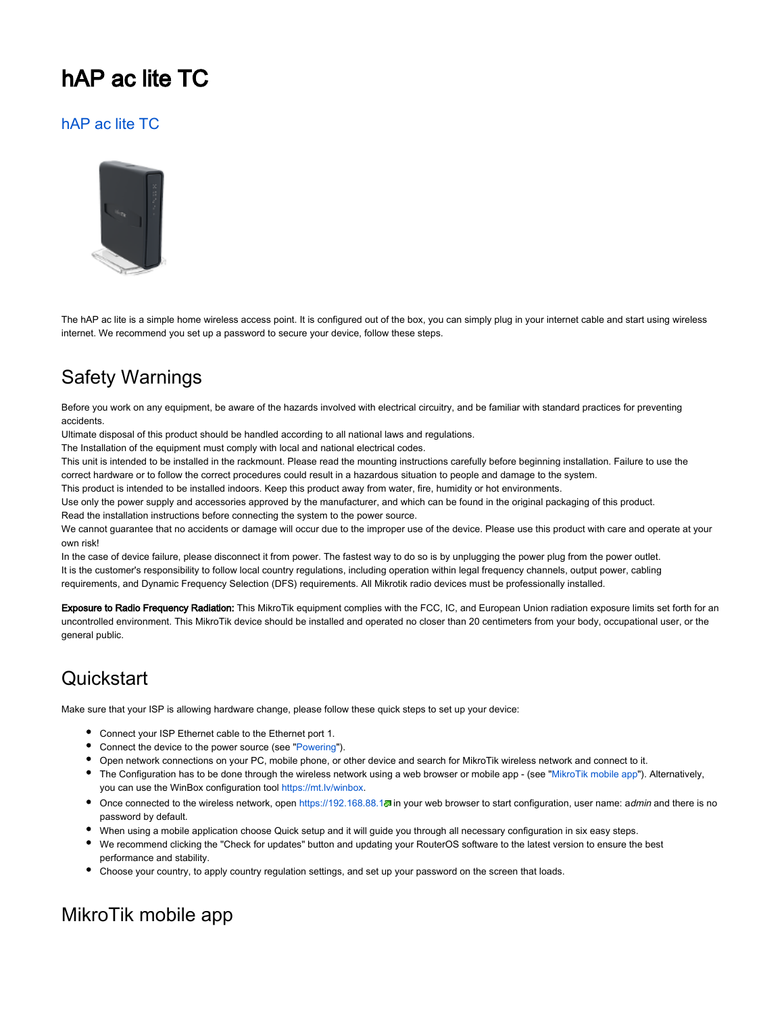# hAP ac lite TC

#### [hAP ac lite TC](https://mikrotik.com/product/RB952Ui-5ac2nD-TC)



The hAP ac lite is a simple home wireless access point. It is configured out of the box, you can simply plug in your internet cable and start using wireless internet. We recommend you set up a password to secure your device, follow these steps.

### Safety Warnings

Before you work on any equipment, be aware of the hazards involved with electrical circuitry, and be familiar with standard practices for preventing accidents.

Ultimate disposal of this product should be handled according to all national laws and regulations.

The Installation of the equipment must comply with local and national electrical codes.

This unit is intended to be installed in the rackmount. Please read the mounting instructions carefully before beginning installation. Failure to use the correct hardware or to follow the correct procedures could result in a hazardous situation to people and damage to the system.

This product is intended to be installed indoors. Keep this product away from water, fire, humidity or hot environments.

Use only the power supply and accessories approved by the manufacturer, and which can be found in the original packaging of this product.

Read the installation instructions before connecting the system to the power source.

We cannot guarantee that no accidents or damage will occur due to the improper use of the device. Please use this product with care and operate at your own risk!

In the case of device failure, please disconnect it from power. The fastest way to do so is by unplugging the power plug from the power outlet. It is the customer's responsibility to follow local country regulations, including operation within legal frequency channels, output power, cabling requirements, and Dynamic Frequency Selection (DFS) requirements. All Mikrotik radio devices must be professionally installed.

Exposure to Radio Frequency Radiation: This MikroTik equipment complies with the FCC, IC, and European Union radiation exposure limits set forth for an uncontrolled environment. This MikroTik device should be installed and operated no closer than 20 centimeters from your body, occupational user, or the general public.

### **Quickstart**

Make sure that your ISP is allowing hardware change, please follow these quick steps to set up your device:

- Connect your ISP Ethernet cable to the Ethernet port 1.
- Connect the device to the power source (see ["Powering"](#page-1-0)).
- Open network connections on your PC, mobile phone, or other device and search for MikroTik wireless network and connect to it.
- The Configuration has to be done through the wireless network using a web browser or mobile app (see ["MikroTik mobile app](#page-0-0)"). Alternatively, you can use the WinBox configuration tool [https://mt.lv/winbox.](https://mt.lv/winbox)
- Once connected to the wireless network, open <https://192.168.88.1>. in your web browser to start configuration, user name: admin and there is no password by default.
- When using a mobile application choose Quick setup and it will guide you through all necessary configuration in six easy steps.
- We recommend clicking the "Check for updates" button and updating your RouterOS software to the latest version to ensure the best performance and stability.
- Choose your country, to apply country regulation settings, and set up your password on the screen that loads.

### <span id="page-0-0"></span>MikroTik mobile app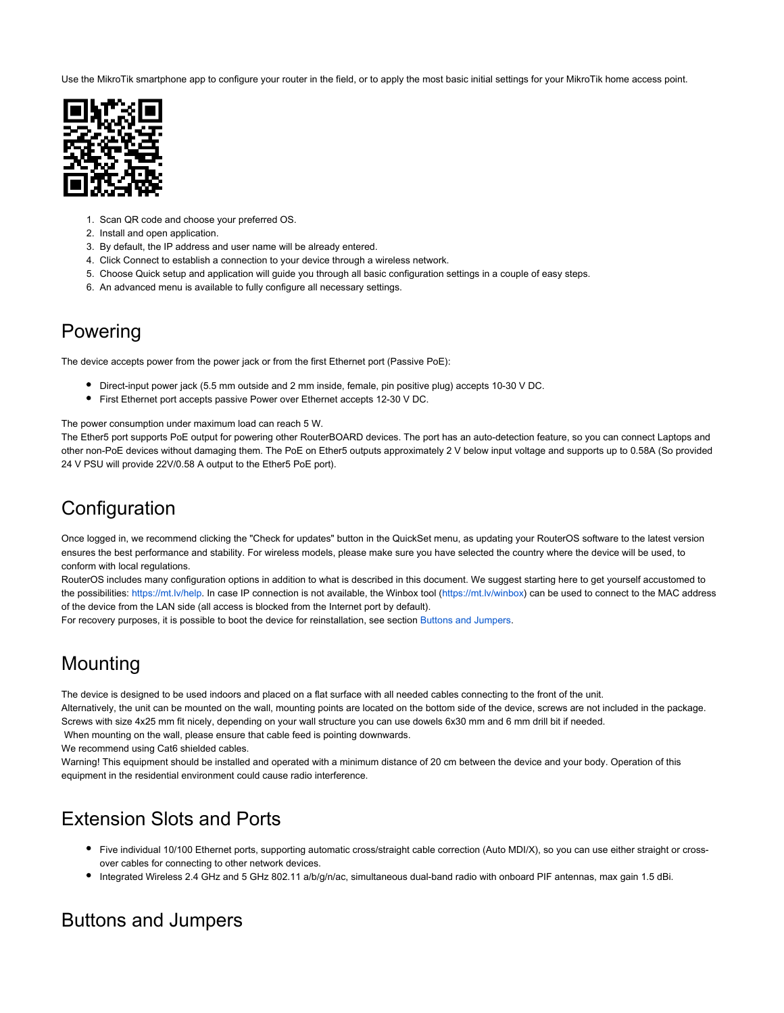Use the MikroTik smartphone app to configure your router in the field, or to apply the most basic initial settings for your MikroTik home access point.



- 1. Scan QR code and choose your preferred OS.
- 2. Install and open application.
- 3. By default, the IP address and user name will be already entered.
- 4. Click Connect to establish a connection to your device through a wireless network.
- 5. Choose Quick setup and application will guide you through all basic configuration settings in a couple of easy steps.
- 6. An advanced menu is available to fully configure all necessary settings.

#### <span id="page-1-0"></span>Powering

The device accepts power from the power jack or from the first Ethernet port (Passive PoE):

- Direct-input power jack (5.5 mm outside and 2 mm inside, female, pin positive plug) accepts 10-30 V DC.
- First Ethernet port accepts passive Power over Ethernet accepts 12-30 V DC.

The power consumption under maximum load can reach 5 W.

The Ether5 port supports PoE output for powering other RouterBOARD devices. The port has an auto-detection feature, so you can connect Laptops and other non-PoE devices without damaging them. The PoE on Ether5 outputs approximately 2 V below input voltage and supports up to 0.58A (So provided 24 V PSU will provide 22V/0.58 A output to the Ether5 PoE port).

### **Configuration**

Once logged in, we recommend clicking the "Check for updates" button in the QuickSet menu, as updating your RouterOS software to the latest version ensures the best performance and stability. For wireless models, please make sure you have selected the country where the device will be used, to conform with local regulations.

RouterOS includes many configuration options in addition to what is described in this document. We suggest starting here to get yourself accustomed to the possibilities: [https://mt.lv/help.](https://mt.lv/help) In case IP connection is not available, the Winbox tool [\(https://mt.lv/winbox](https://mt.lv/winbox)) can be used to connect to the MAC address of the device from the LAN side (all access is blocked from the Internet port by default).

For recovery purposes, it is possible to boot the device for reinstallation, see section [Buttons and Jumpers](#page-1-1).

#### Mounting

The device is designed to be used indoors and placed on a flat surface with all needed cables connecting to the front of the unit.

Alternatively, the unit can be mounted on the wall, mounting points are located on the bottom side of the device, screws are not included in the package.

Screws with size 4x25 mm fit nicely, depending on your wall structure you can use dowels 6x30 mm and 6 mm drill bit if needed.

When mounting on the wall, please ensure that cable feed is pointing downwards.

We recommend using Cat6 shielded cables.

Warning! This equipment should be installed and operated with a minimum distance of 20 cm between the device and your body. Operation of this equipment in the residential environment could cause radio interference.

#### Extension Slots and Ports

- Five individual 10/100 Ethernet ports, supporting automatic cross/straight cable correction (Auto MDI/X), so you can use either straight or crossover cables for connecting to other network devices.
- Integrated Wireless 2.4 GHz and 5 GHz 802.11 a/b/g/n/ac, simultaneous dual-band radio with onboard PIF antennas, max gain 1.5 dBi.

#### <span id="page-1-1"></span>Buttons and Jumpers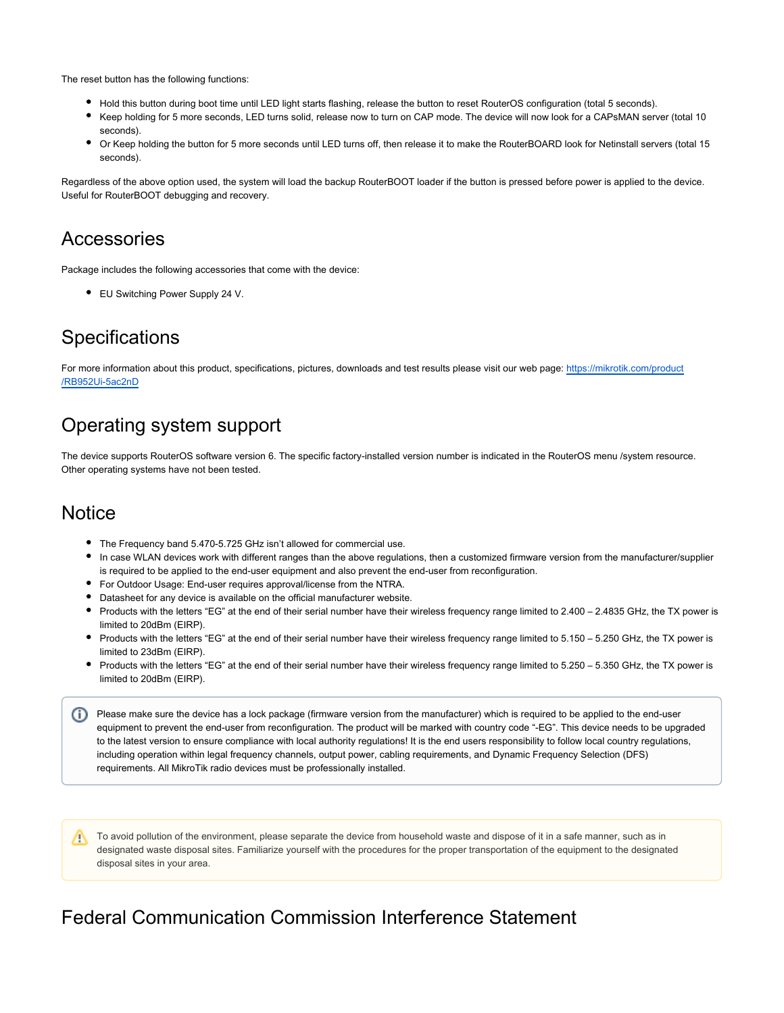The reset button has the following functions:

- Hold this button during boot time until LED light starts flashing, release the button to reset RouterOS configuration (total 5 seconds).
- Keep holding for 5 more seconds, LED turns solid, release now to turn on CAP mode. The device will now look for a CAPsMAN server (total 10 seconds).
- Or Keep holding the button for 5 more seconds until LED turns off, then release it to make the RouterBOARD look for Netinstall servers (total 15 seconds).

Regardless of the above option used, the system will load the backup RouterBOOT loader if the button is pressed before power is applied to the device. Useful for RouterBOOT debugging and recovery.

#### Accessories

Package includes the following accessories that come with the device:

● EU Switching Power Supply 24 V.

#### **Specifications**

For more information about this product, specifications, pictures, downloads and test results please visit our web page: [https://mikrotik.com/product](https://mikrotik.com/product/RB952Ui-5ac2nD) [/RB952Ui-5ac2nD](https://mikrotik.com/product/RB952Ui-5ac2nD)

#### Operating system support

The device supports RouterOS software version 6. The specific factory-installed version number is indicated in the RouterOS menu /system resource. Other operating systems have not been tested.

#### **Notice**

- The Frequency band 5.470-5.725 GHz isn't allowed for commercial use.
- In case WLAN devices work with different ranges than the above regulations, then a customized firmware version from the manufacturer/supplier is required to be applied to the end-user equipment and also prevent the end-user from reconfiguration.
- For Outdoor Usage: End-user requires approval/license from the NTRA.
- Datasheet for any device is available on the official manufacturer website.
- Products with the letters "EG" at the end of their serial number have their wireless frequency range limited to 2.400 2.4835 GHz, the TX power is limited to 20dBm (EIRP).
- Products with the letters "EG" at the end of their serial number have their wireless frequency range limited to 5.150 5.250 GHz, the TX power is limited to 23dBm (EIRP).
- Products with the letters "EG" at the end of their serial number have their wireless frequency range limited to 5.250 5.350 GHz, the TX power is limited to 20dBm (EIRP).

<sup>1</sup> Please make sure the device has a lock package (firmware version from the manufacturer) which is required to be applied to the end-user equipment to prevent the end-user from reconfiguration. The product will be marked with country code "-EG". This device needs to be upgraded to the latest version to ensure compliance with local authority regulations! It is the end users responsibility to follow local country regulations, including operation within legal frequency channels, output power, cabling requirements, and Dynamic Frequency Selection (DFS) requirements. All MikroTik radio devices must be professionally installed.

To avoid pollution of the environment, please separate the device from household waste and dispose of it in a safe manner, such as in Λ designated waste disposal sites. Familiarize yourself with the procedures for the proper transportation of the equipment to the designated disposal sites in your area.

#### Federal Communication Commission Interference Statement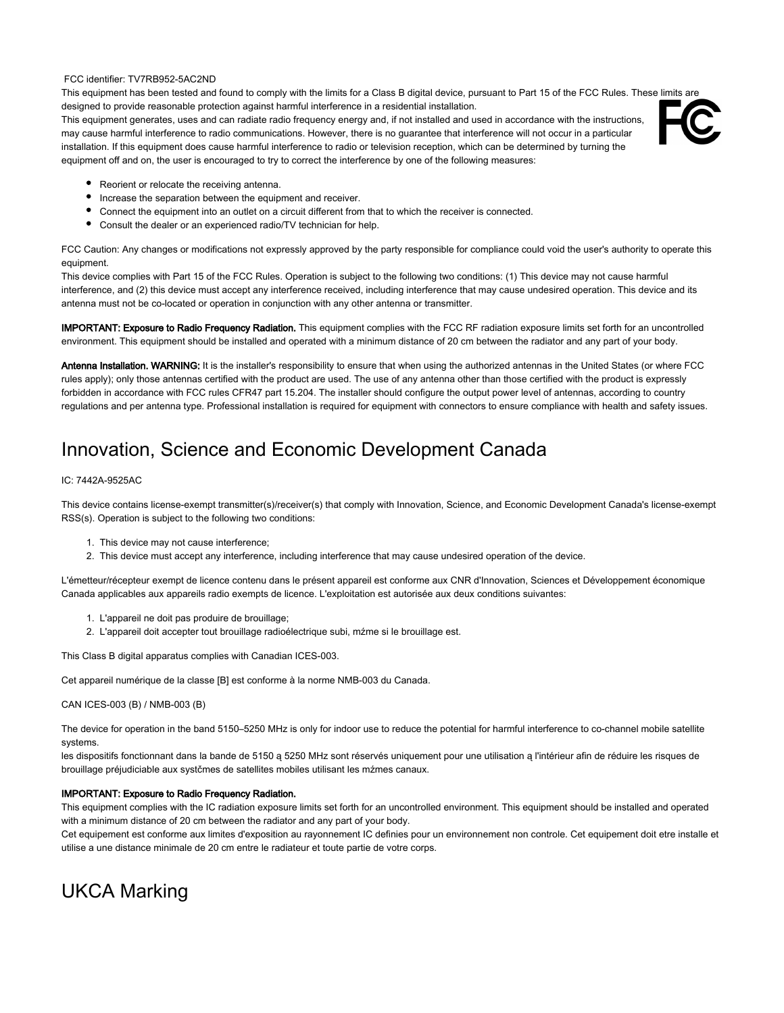#### FCC identifier: TV7RB952-5AC2ND

This equipment has been tested and found to comply with the limits for a Class B digital device, pursuant to Part 15 of the FCC Rules. These limits are designed to provide reasonable protection against harmful interference in a residential installation.

This equipment generates, uses and can radiate radio frequency energy and, if not installed and used in accordance with the instructions, may cause harmful interference to radio communications. However, there is no guarantee that interference will not occur in a particular installation. If this equipment does cause harmful interference to radio or television reception, which can be determined by turning the equipment off and on, the user is encouraged to try to correct the interference by one of the following measures:



- Reorient or relocate the receiving antenna.
- Increase the separation between the equipment and receiver.
- Connect the equipment into an outlet on a circuit different from that to which the receiver is connected.
- Consult the dealer or an experienced radio/TV technician for help.

FCC Caution: Any changes or modifications not expressly approved by the party responsible for compliance could void the user's authority to operate this equipment.

This device complies with Part 15 of the FCC Rules. Operation is subject to the following two conditions: (1) This device may not cause harmful interference, and (2) this device must accept any interference received, including interference that may cause undesired operation. This device and its antenna must not be co-located or operation in conjunction with any other antenna or transmitter.

IMPORTANT: Exposure to Radio Frequency Radiation. This equipment complies with the FCC RF radiation exposure limits set forth for an uncontrolled environment. This equipment should be installed and operated with a minimum distance of 20 cm between the radiator and any part of your body.

Antenna Installation. WARNING: It is the installer's responsibility to ensure that when using the authorized antennas in the United States (or where FCC rules apply); only those antennas certified with the product are used. The use of any antenna other than those certified with the product is expressly forbidden in accordance with FCC rules CFR47 part 15.204. The installer should configure the output power level of antennas, according to country regulations and per antenna type. Professional installation is required for equipment with connectors to ensure compliance with health and safety issues.

#### Innovation, Science and Economic Development Canada

#### IC: 7442A-9525AC

This device contains license-exempt transmitter(s)/receiver(s) that comply with Innovation, Science, and Economic Development Canada's license-exempt RSS(s). Operation is subject to the following two conditions:

- 1. This device may not cause interference;
- 2. This device must accept any interference, including interference that may cause undesired operation of the device.

L'émetteur/récepteur exempt de licence contenu dans le présent appareil est conforme aux CNR d'Innovation, Sciences et Développement économique Canada applicables aux appareils radio exempts de licence. L'exploitation est autorisée aux deux conditions suivantes:

- 1. L'appareil ne doit pas produire de brouillage;
- 2. L'appareil doit accepter tout brouillage radioélectrique subi, mźme si le brouillage est.

This Class B digital apparatus complies with Canadian ICES-003.

Cet appareil numérique de la classe [B] est conforme à la norme NMB-003 du Canada.

CAN ICES-003 (B) / NMB-003 (B)

The device for operation in the band 5150–5250 MHz is only for indoor use to reduce the potential for harmful interference to co-channel mobile satellite systems.

les dispositifs fonctionnant dans la bande de 5150 ą 5250 MHz sont réservés uniquement pour une utilisation ą l'intérieur afin de réduire les risques de brouillage préjudiciable aux systčmes de satellites mobiles utilisant les mźmes canaux.

#### IMPORTANT: Exposure to Radio Frequency Radiation.

This equipment complies with the IC radiation exposure limits set forth for an uncontrolled environment. This equipment should be installed and operated with a minimum distance of 20 cm between the radiator and any part of your body.

Cet equipement est conforme aux limites d'exposition au rayonnement IC definies pour un environnement non controle. Cet equipement doit etre installe et utilise a une distance minimale de 20 cm entre le radiateur et toute partie de votre corps.

### UKCA Marking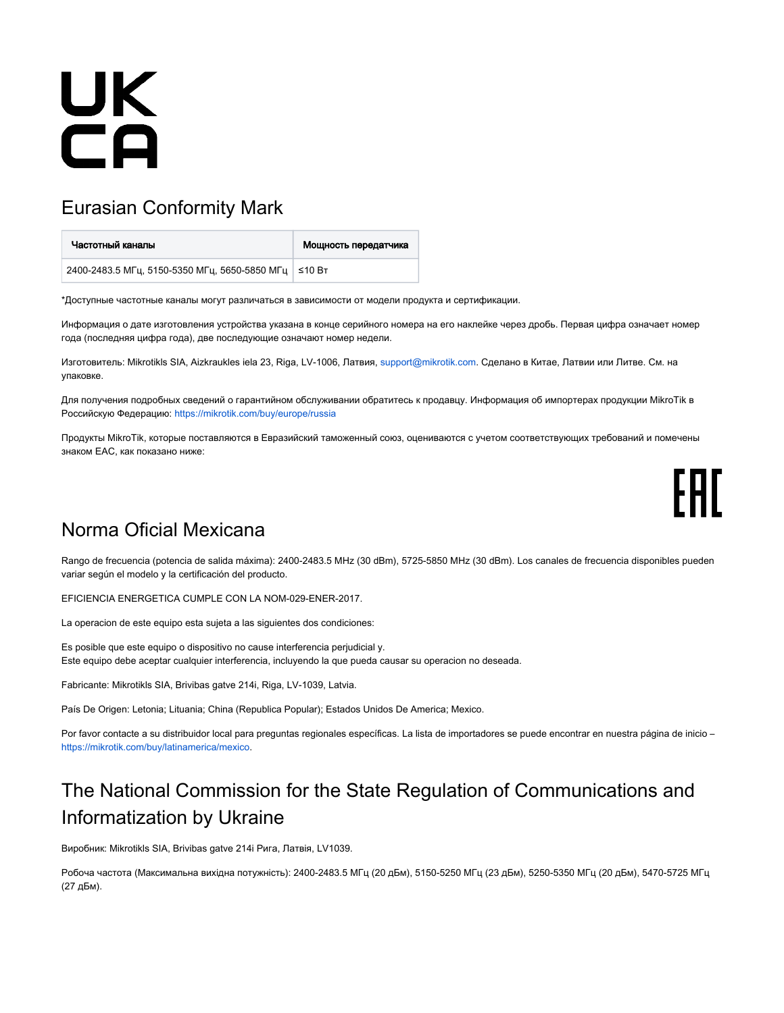# UK<br>CA

# Eurasian Conformity Mark

| Частотный каналы                                       | Мощность передатчика |
|--------------------------------------------------------|----------------------|
| 2400-2483.5 МГц, 5150-5350 МГц, 5650-5850 МГц   ≤10 Вт |                      |

\*Доступные частотные каналы могут различаться в зависимости от модели продукта и сертификации.

Информация о дате изготовления устройства указана в конце серийного номера на его наклейке через дробь. Первая цифра означает номер года (последняя цифра года), две последующие означают номер недели.

Изготовитель: Mikrotikls SIA, Aizkraukles iela 23, Riga, LV-1006, Латвия, [support@mikrotik.com.](mailto:support@mikrotik.com) Сделано в Китае, Латвии или Литве. Cм. на упаковке.

Для получения подробных сведений о гарантийном обслуживании обратитесь к продавцу. Информация об импортерах продукции MikroTik в Российскую Федерацию:<https://mikrotik.com/buy/europe/russia>

Продукты MikroTik, которые поставляются в Евразийский таможенный союз, оцениваются с учетом соответствующих требований и помечены знаком EAC, как показано ниже:

# FAL

#### Norma Oficial Mexicana

Rango de frecuencia (potencia de salida máxima): 2400-2483.5 MHz (30 dBm), 5725-5850 MHz (30 dBm). Los canales de frecuencia disponibles pueden variar según el modelo y la certificación del producto.

EFICIENCIA ENERGETICA CUMPLE CON LA NOM-029-ENER-2017.

La operacion de este equipo esta sujeta a las siguientes dos condiciones:

Es posible que este equipo o dispositivo no cause interferencia perjudicial y. Este equipo debe aceptar cualquier interferencia, incluyendo la que pueda causar su operacion no deseada.

Fabricante: Mikrotikls SIA, Brivibas gatve 214i, Riga, LV-1039, Latvia.

País De Origen: Letonia; Lituania; China (Republica Popular); Estados Unidos De America; Mexico.

Por favor contacte a su distribuidor local para preguntas regionales específicas. La lista de importadores se puede encontrar en nuestra página de inicio – <https://mikrotik.com/buy/latinamerica/mexico>.

# The National Commission for the State Regulation of Communications and Informatization by Ukraine

Виробник: Mikrotikls SIA, Brivibas gatve 214i Рига, Латвія, LV1039.

Робоча частота (Максимальна вихідна потужність): 2400-2483.5 МГц (20 дБм), 5150-5250 МГц (23 дБм), 5250-5350 МГц (20 дБм), 5470-5725 МГц (27 дБм).